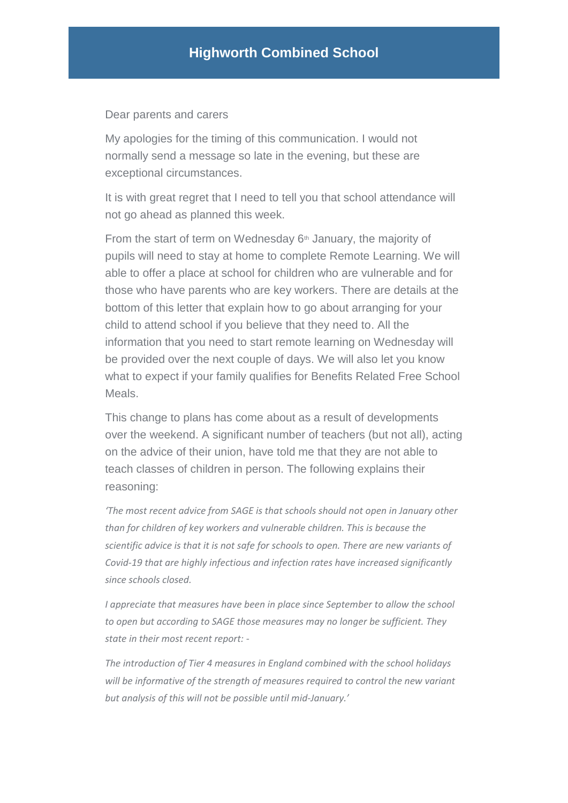Dear parents and carers

My apologies for the timing of this communication. I would not normally send a message so late in the evening, but these are exceptional circumstances.

It is with great regret that I need to tell you that school attendance will not go ahead as planned this week.

From the start of term on Wednesday  $6<sup>th</sup>$  January, the majority of pupils will need to stay at home to complete Remote Learning. We will able to offer a place at school for children who are vulnerable and for those who have parents who are key workers. There are details at the bottom of this letter that explain how to go about arranging for your child to attend school if you believe that they need to. All the information that you need to start remote learning on Wednesday will be provided over the next couple of days. We will also let you know what to expect if your family qualifies for Benefits Related Free School Meals.

This change to plans has come about as a result of developments over the weekend. A significant number of teachers (but not all), acting on the advice of their union, have told me that they are not able to teach classes of children in person. The following explains their reasoning:

*'The most recent advice from SAGE is that schools should not open in January other than for children of key workers and vulnerable children. This is because the scientific advice is that it is not safe for schools to open. There are new variants of Covid-19 that are highly infectious and infection rates have increased significantly since schools closed.*

*I appreciate that measures have been in place since September to allow the school to open but according to SAGE those measures may no longer be sufficient. They state in their most recent report: -*

*The introduction of Tier 4 measures in England combined with the school holidays will be informative of the strength of measures required to control the new variant but analysis of this will not be possible until mid-January.'*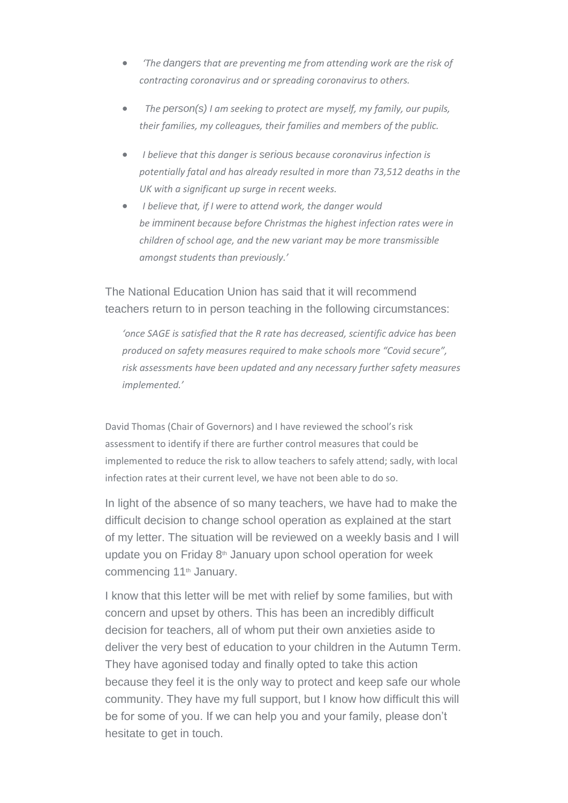- *'The dangers that are preventing me from attending work are the risk of contracting coronavirus and or spreading coronavirus to others.*
- *The person(s) I am seeking to protect are myself, my family, our pupils, their families, my colleagues, their families and members of the public.*
- *I believe that this danger is serious because coronavirus infection is potentially fatal and has already resulted in more than 73,512 deaths in the UK with a significant up surge in recent weeks.*
- *I believe that, if I were to attend work, the danger would be imminent because before Christmas the highest infection rates were in children of school age, and the new variant may be more transmissible amongst students than previously.'*

The National Education Union has said that it will recommend teachers return to in person teaching in the following circumstances:

*'once SAGE is satisfied that the R rate has decreased, scientific advice has been produced on safety measures required to make schools more "Covid secure", risk assessments have been updated and any necessary further safety measures implemented.'*

David Thomas (Chair of Governors) and I have reviewed the school's risk assessment to identify if there are further control measures that could be implemented to reduce the risk to allow teachers to safely attend; sadly, with local infection rates at their current level, we have not been able to do so.

In light of the absence of so many teachers, we have had to make the difficult decision to change school operation as explained at the start of my letter. The situation will be reviewed on a weekly basis and I will update you on Friday  $8<sup>th</sup>$  January upon school operation for week commencing 11<sup>th</sup> January.

I know that this letter will be met with relief by some families, but with concern and upset by others. This has been an incredibly difficult decision for teachers, all of whom put their own anxieties aside to deliver the very best of education to your children in the Autumn Term. They have agonised today and finally opted to take this action because they feel it is the only way to protect and keep safe our whole community. They have my full support, but I know how difficult this will be for some of you. If we can help you and your family, please don't hesitate to get in touch.